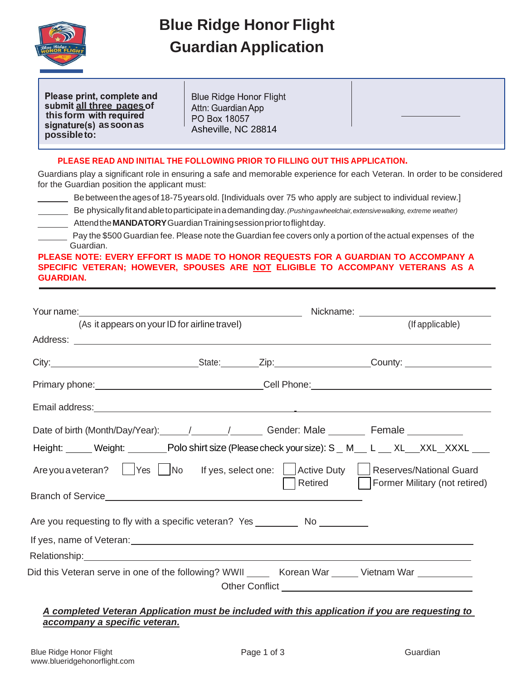

## **Blue Ridge Honor Flight Guardian Application**

Please print, complete and **all three pagesof this form** signature(s) as soon as **possibleto:** Asheville, NC 28814

**Blue Ridge Honor Flight** Attn: Guardian App PO Box 18057



Guardians play a significant role in ensuring a safe and memorable experience for each Veteran. In order to be considered for the Guardian position the applicant must:

Bebetweentheagesof18-75yearsold. [Individuals over 75 who apply are subject to individual review.]

Be physicallyfitandabletoparticipateinademandingday.*(Pushingawheelchair,extensivewalking, extreme weather)* Attendthe**MANDATORY**GuardianTrainingsessionpriortoflightday.

Pay the \$500 Guardian fee. Please note the Guardian fee covers only a portion of the actual expenses of the Guardian.

**PLEASE NOTE: EVERY EFFORT IS MADE TO HONOR REQUESTS FOR A GUARDIAN TO ACCOMPANY A SPECIFIC VETERAN; HOWEVER, SPOUSES ARE NOT ELIGIBLE TO ACCOMPANY VETERANS AS A GUARDIAN.**

|                                                                                   |                                               | Nickname: <u>___________________________</u> |                                                                                                                                                                                                                                |  |
|-----------------------------------------------------------------------------------|-----------------------------------------------|----------------------------------------------|--------------------------------------------------------------------------------------------------------------------------------------------------------------------------------------------------------------------------------|--|
|                                                                                   | (As it appears on your ID for airline travel) |                                              | (If applicable)                                                                                                                                                                                                                |  |
|                                                                                   |                                               |                                              |                                                                                                                                                                                                                                |  |
|                                                                                   |                                               |                                              | City: City: Current County: County: County: County: County: County: County: County: County: County: County: County: County: County: County: County: County: County: County: County: County: County: County: County: County: Co |  |
|                                                                                   |                                               |                                              | Primary phone:___________________________________Cell Phone:_____________________                                                                                                                                              |  |
| Email address: <u>The Communication of the Communication of the Communication</u> |                                               |                                              |                                                                                                                                                                                                                                |  |
|                                                                                   |                                               |                                              | Date of birth (Month/Day/Year): 1. 1. 1. 1. 1. Gender: Male 1. 1. Female                                                                                                                                                       |  |
|                                                                                   |                                               |                                              | Height: Weight: Weight: Polo shirt size (Please check your size): S _ M _ L _ XL _ XXL _ XXXL _ _                                                                                                                              |  |
|                                                                                   |                                               |                                              | Are you a veteran?   Yes   No If yes, select one:   Active Duty   Reserves/National Guard                                                                                                                                      |  |
|                                                                                   |                                               |                                              |                                                                                                                                                                                                                                |  |
| Are you requesting to fly with a specific veteran? Yes __________________________ |                                               |                                              |                                                                                                                                                                                                                                |  |
|                                                                                   |                                               |                                              |                                                                                                                                                                                                                                |  |
|                                                                                   |                                               |                                              |                                                                                                                                                                                                                                |  |
|                                                                                   |                                               |                                              | Did this Veteran serve in one of the following? WWII _______ Korean War ______ Vietnam War _________                                                                                                                           |  |

## *A completed Veteran Application must be included with this application if you are requesting to accompany a specific veteran.*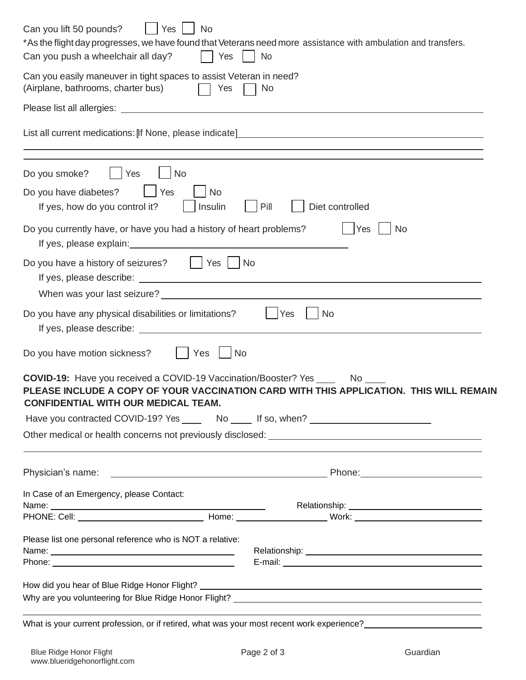| Yes<br>Can you lift 50 pounds?<br>No<br>*As the flight day progresses, we have found that Veterans need more assistance with ambulation and transfers.<br>Can you push a wheelchair all day?<br>$ $ $ $ Yes<br>No                                                                                                                                                                                                                       |
|-----------------------------------------------------------------------------------------------------------------------------------------------------------------------------------------------------------------------------------------------------------------------------------------------------------------------------------------------------------------------------------------------------------------------------------------|
| Can you easily maneuver in tight spaces to assist Veteran in need?<br>(Airplane, bathrooms, charter bus)<br>Yes<br>No                                                                                                                                                                                                                                                                                                                   |
|                                                                                                                                                                                                                                                                                                                                                                                                                                         |
|                                                                                                                                                                                                                                                                                                                                                                                                                                         |
| Yes<br>No<br>Do you smoke?                                                                                                                                                                                                                                                                                                                                                                                                              |
| Yes<br>Do you have diabetes?<br>No<br>Pill<br>If yes, how do you control it?<br>  Insulin<br>Diet controlled                                                                                                                                                                                                                                                                                                                            |
| Do you currently have, or have you had a history of heart problems?<br>Yes<br><b>No</b><br><u> 1980 - Jan Samuel Barbara, martin di sebagai personal di sebagai personal di sebagai personal di sebagai per</u><br>If yes, please explain:                                                                                                                                                                                              |
| Do you have a history of seizures?     Yes     No                                                                                                                                                                                                                                                                                                                                                                                       |
| Do you have any physical disabilities or limitations?<br> Yes<br><b>No</b>                                                                                                                                                                                                                                                                                                                                                              |
| Do you have motion sickness?<br>No<br>Yes                                                                                                                                                                                                                                                                                                                                                                                               |
| <b>COVID-19:</b> Have you received a COVID-19 Vaccination/Booster? Yes _______ No ____<br>PLEASE INCLUDE A COPY OF YOUR VACCINATION CARD WITH THIS APPLICATION. THIS WILL REMAIN<br><b>CONFIDENTIAL WITH OUR MEDICAL TEAM.</b><br>Have you contracted COVID-19? Yes _______ No ______ If so, when? ________________<br>and the control of the control of the control of the control of the control of the control of the control of the |
|                                                                                                                                                                                                                                                                                                                                                                                                                                         |
| In Case of an Emergency, please Contact:                                                                                                                                                                                                                                                                                                                                                                                                |
|                                                                                                                                                                                                                                                                                                                                                                                                                                         |
| Please list one personal reference who is NOT a relative:<br>Name: Name:                                                                                                                                                                                                                                                                                                                                                                |
|                                                                                                                                                                                                                                                                                                                                                                                                                                         |

What is your current profession, or if retired, what was your most recent work experience?